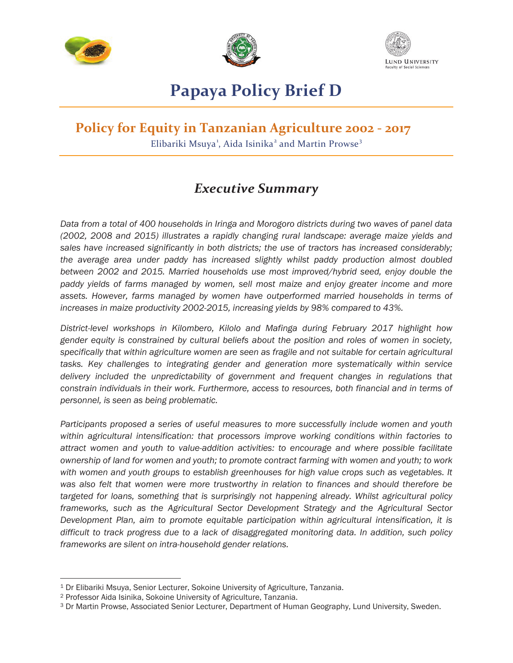





# **Papaya Policy Brief D**

# **Policy for Equity in Tanzanian Agriculture 2002 - 2017**

Elibariki Msuya<sup>1</sup>, Aida Isinika<sup>2</sup> and Martin Prowse<sup>3</sup>

## *Executive Summary*

*Data from a total of 400 households in Iringa and Morogoro districts during two waves of panel data (2002, 2008 and 2015) illustrates a rapidly changing rural landscape: average maize yields and sales have increased significantly in both districts; the use of tractors has increased considerably; the average area under paddy has increased slightly whilst paddy production almost doubled between 2002 and 2015. Married households use most improved/hybrid seed, enjoy double the paddy yields of farms managed by women, sell most maize and enjoy greater income and more assets. However, farms managed by women have outperformed married households in terms of increases in maize productivity 2002-2015, increasing yields by 98% compared to 43%.* 

*District-level workshops in Kilombero, Kilolo and Mafinga during February 2017 highlight how gender equity is constrained by cultural beliefs about the position and roles of women in society, specifically that within agriculture women are seen as fragile and not suitable for certain agricultural tasks. Key challenges to integrating gender and generation more systematically within service*  delivery included the unpredictability of government and frequent changes in regulations that *constrain individuals in their work. Furthermore, access to resources, both financial and in terms of personnel, is seen as being problematic.* 

*Participants proposed a series of useful measures to more successfully include women and youth within agricultural intensification: that processors improve working conditions within factories to attract women and youth to value-addition activities: to encourage and where possible facilitate ownership of land for women and youth; to promote contract farming with women and youth; to work with women and youth groups to establish greenhouses for high value crops such as vegetables. It was also felt that women were more trustworthy in relation to finances and should therefore be targeted for loans, something that is surprisingly not happening already. Whilst agricultural policy frameworks, such as the Agricultural Sector Development Strategy and the Agricultural Sector Development Plan, aim to promote equitable participation within agricultural intensification, it is difficult to track progress due to a lack of disaggregated monitoring data. In addition, such policy frameworks are silent on intra-household gender relations.* 

 $\overline{a}$ 

<sup>1</sup> Dr Elibariki Msuya, Senior Lecturer, Sokoine University of Agriculture, Tanzania.

<sup>2</sup> Professor Aida Isinika, Sokoine University of Agriculture, Tanzania.

<sup>3</sup> Dr Martin Prowse, Associated Senior Lecturer, Department of Human Geography, Lund University, Sweden.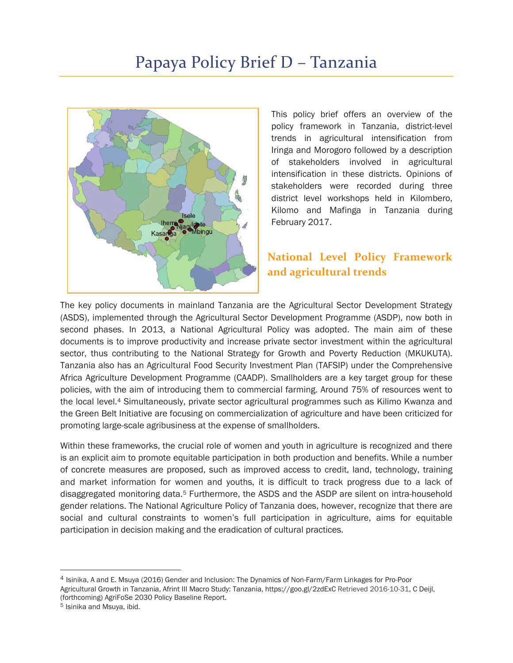

This policy brief offers an overview of the policy framework in Tanzania, district-level trends in agricultural intensification from Iringa and Morogoro followed by a description of stakeholders involved in agricultural intensification in these districts. Opinions of stakeholders were recorded during three district level workshops held in Kilombero, Kilomo and Mafinga in Tanzania during February 2017.

## **National Level Policy Framework and agricultural trends**

The key policy documents in mainland Tanzania are the Agricultural Sector Development Strategy (ASDS), implemented through the Agricultural Sector Development Programme (ASDP), now both in second phases. In 2013, a National Agricultural Policy was adopted. The main aim of these documents is to improve productivity and increase private sector investment within the agricultural sector, thus contributing to the National Strategy for Growth and Poverty Reduction (MKUKUTA). Tanzania also has an Agricultural Food Security Investment Plan (TAFSIP) under the Comprehensive Africa Agriculture Development Programme (CAADP). Smallholders are a key target group for these policies, with the aim of introducing them to commercial farming. Around 75% of resources went to the local level.4 Simultaneously, private sector agricultural programmes such as Kilimo Kwanza and the Green Belt Initiative are focusing on commercialization of agriculture and have been criticized for promoting large-scale agribusiness at the expense of smallholders.

Within these frameworks, the crucial role of women and youth in agriculture is recognized and there is an explicit aim to promote equitable participation in both production and benefits. While a number of concrete measures are proposed, such as improved access to credit, land, technology, training and market information for women and youths, it is difficult to track progress due to a lack of disaggregated monitoring data.5 Furthermore, the ASDS and the ASDP are silent on intra-household gender relations. The National Agriculture Policy of Tanzania does, however, recognize that there are social and cultural constraints to women's full participation in agriculture, aims for equitable participation in decision making and the eradication of cultural practices.

-

<sup>4</sup> Isinika, A and E. Msuya (2016) Gender and Inclusion: The Dynamics of Non-Farm/Farm Linkages for Pro-Poor Agricultural Growth in Tanzania, Afrint III Macro Study: Tanzania, https://goo.gl/2zdExC Retrieved 2016-10-31, C Deijl, (forthcoming) AgriFoSe 2030 Policy Baseline Report.

<sup>5</sup> Isinika and Msuya, ibid.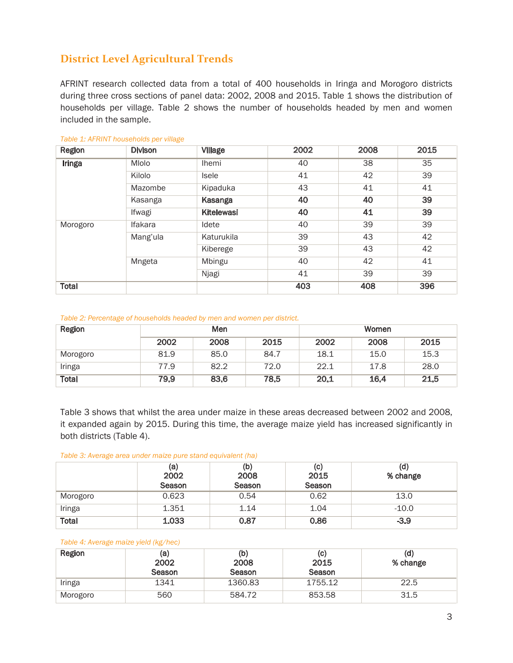## **District Level Agricultural Trends**

AFRINT research collected data from a total of 400 households in Iringa and Morogoro districts during three cross sections of panel data: 2002, 2008 and 2015. Table 1 shows the distribution of households per village. Table 2 shows the number of households headed by men and women included in the sample.

| Region       | <b>Divison</b> | Village           | 2002 | 2008 | 2015 |
|--------------|----------------|-------------------|------|------|------|
| Iringa       | Mlolo          | <b>Ihemi</b>      | 40   | 38   | 35   |
|              | Kilolo         | <b>Isele</b>      | 41   | 42   | 39   |
|              | Mazombe        | Kipaduka          | 43   | 41   | 41   |
|              | Kasanga        | Kasanga           | 40   | 40   | 39   |
|              | Ifwagi         | <b>Kitelewasi</b> | 40   | 41   | 39   |
| Morogoro     | Ifakara        | Idete             | 40   | 39   | 39   |
|              | Mang'ula       | Katurukila        | 39   | 43   | 42   |
|              |                | Kiberege          | 39   | 43   | 42   |
|              | Mngeta         | Mbingu            | 40   | 42   | 41   |
|              |                | Njagi             | 41   | 39   | 39   |
| <b>Total</b> |                |                   | 403  | 408  | 396  |

*Table 1: AFRINT households per village* 

#### *Table 2: Percentage of households headed by men and women per district.*

| Region       |      | Men  |      |      | Women |      |
|--------------|------|------|------|------|-------|------|
|              | 2002 | 2008 | 2015 | 2002 | 2008  | 2015 |
| Morogoro     | 81.9 | 85.0 | 84.7 | 18.1 | 15.0  | 15.3 |
| Iringa       | 77.9 | 82.2 | 72.0 | 22.1 | 17.8  | 28.0 |
| <b>Total</b> | 79.9 | 83.6 | 78.5 | 20.1 | 16.4  | 21.5 |

Table 3 shows that whilst the area under maize in these areas decreased between 2002 and 2008, it expanded again by 2015. During this time, the average maize yield has increased significantly in both districts (Table 4).

#### *Table 3: Average area under maize pure stand equivalent (ha)*

|              | (a)<br>2002<br>Season | (b)<br>2008<br>Season | (C)<br>2015<br>Season | (d)<br>% change |
|--------------|-----------------------|-----------------------|-----------------------|-----------------|
| Morogoro     | 0.623                 | 0.54                  | 0.62                  | 13.0            |
| Iringa       | 1.351                 | 1.14                  | 1.04                  | $-10.0$         |
| <b>Total</b> | 1.033                 | 0.87                  | 0.86                  | $-3.9$          |

#### *Table 4: Average maize yield (kg/hec)*

| Region   | (a)<br>2002<br>Season | (b)<br>2008<br>Season | (C)<br>2015<br>Season | (d)<br>% change |
|----------|-----------------------|-----------------------|-----------------------|-----------------|
| Iringa   | 1341                  | 1360.83               | 1755.12               | 22.5            |
| Morogoro | 560                   | 584.72                | 853.58                | 31.5            |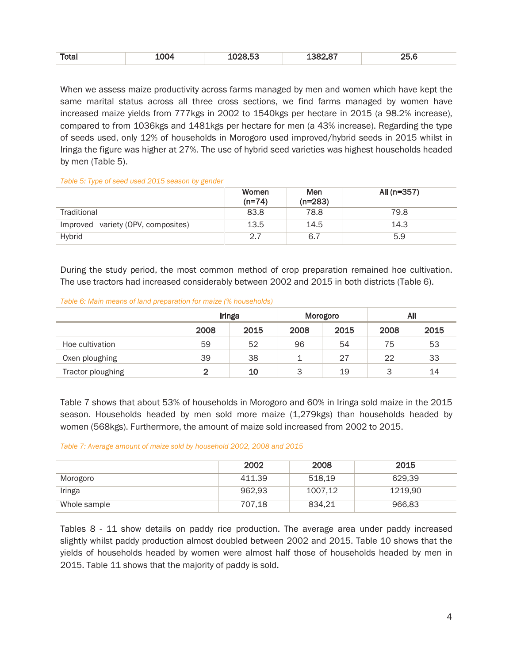|  | Total | . п. 1410. | $-200 - 20$<br>בט.כ | $\sim$ $\sim$ $\sim$ | つに<br>--- |
|--|-------|------------|---------------------|----------------------|-----------|
|--|-------|------------|---------------------|----------------------|-----------|

When we assess maize productivity across farms managed by men and women which have kept the same marital status across all three cross sections, we find farms managed by women have increased maize yields from 777kgs in 2002 to 1540kgs per hectare in 2015 (a 98.2% increase), compared to from 1036kgs and 1481kgs per hectare for men (a 43% increase). Regarding the type of seeds used, only 12% of households in Morogoro used improved/hybrid seeds in 2015 whilst in Iringa the figure was higher at 27%. The use of hybrid seed varieties was highest households headed by men (Table 5).

*Table 5: Type of seed used 2015 season by gender* 

|                                       | Women<br>$(n=74)$ | Men<br>$(n=283)$ | All (n=357) |
|---------------------------------------|-------------------|------------------|-------------|
| Traditional                           | 83.8              | 78.8             | 79.8        |
| variety (OPV, composites)<br>Improved | 13.5              | 14.5             | 14.3        |
| Hybrid                                | 2.7               | 6.7              | 5.9         |

During the study period, the most common method of crop preparation remained hoe cultivation. The use tractors had increased considerably between 2002 and 2015 in both districts (Table 6).

#### *Table 6: Main means of land preparation for maize (% households)*

|                   |      | Iringa |      | Morogoro |      | All  |  |
|-------------------|------|--------|------|----------|------|------|--|
|                   | 2008 | 2015   | 2008 | 2015     | 2008 | 2015 |  |
| Hoe cultivation   | 59   | 52     | 96   | 54       | 75   | 53   |  |
| Oxen ploughing    | 39   | 38     |      | 27       | 22   | 33   |  |
| Tractor ploughing | າ    | 10     | 3    | 19       | 3    | 14   |  |

Table 7 shows that about 53% of households in Morogoro and 60% in Iringa sold maize in the 2015 season. Households headed by men sold more maize (1,279kgs) than households headed by women (568kgs). Furthermore, the amount of maize sold increased from 2002 to 2015.

#### *Table 7: Average amount of maize sold by household 2002, 2008 and 2015*

|              | 2002   | 2008    | 2015    |
|--------------|--------|---------|---------|
| Morogoro     | 411.39 | 518.19  | 629.39  |
| Iringa       | 962.93 | 1007,12 | 1219.90 |
| Whole sample | 707.18 | 834,21  | 966,83  |

Tables 8 - 11 show details on paddy rice production. The average area under paddy increased slightly whilst paddy production almost doubled between 2002 and 2015. Table 10 shows that the yields of households headed by women were almost half those of households headed by men in 2015. Table 11 shows that the majority of paddy is sold.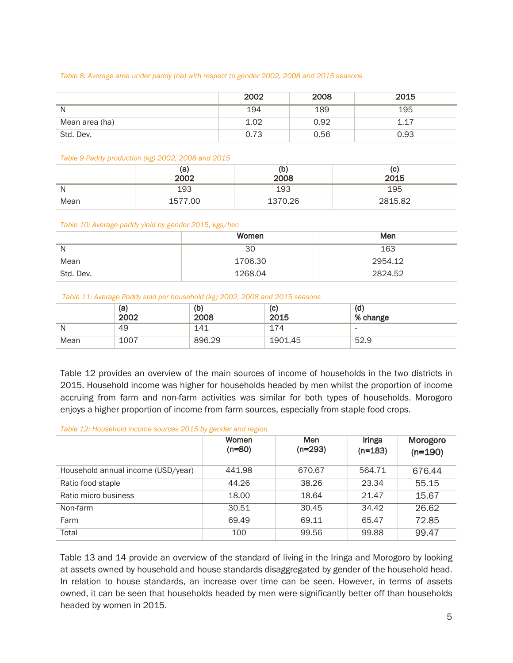#### *Table 8: Average area under paddy (ha) with respect to gender 2002, 2008 and 2015 seasons*

|                | 2002 | 2008 | 2015 |
|----------------|------|------|------|
| N              | 194  | 189  | 195  |
| Mean area (ha) | 1.02 | 0.92 | 117  |
| Std. Dev.      | 0.73 | 0.56 | 0.93 |

#### *Table 9 Paddy production (kg) 2002, 2008 and 2015*

|      | (a)<br>2002 | (b)<br>2008 | (C)<br>2015 |
|------|-------------|-------------|-------------|
| N    | 193         | 193         | 195         |
| Mean | 1577.00     | 1370.26     | 2815.82     |

#### *Table 10: Average paddy yield by gender 2015, kgs/hec*

|           | Women   | Men     |
|-----------|---------|---------|
| N         | 30      | 163     |
| Mean      | 1706.30 | 2954.12 |
| Std. Dev. | 1268.04 | 2824.52 |

#### *Table 11: Average Paddy sold per household (kg) 2002, 2008 and 2015 seasons*

|      |             | ______      |             |                          |
|------|-------------|-------------|-------------|--------------------------|
|      | (a)<br>2002 | (b)<br>2008 | (C)<br>2015 | (d)<br>% change          |
| N    | 49          | 141         | 174         | $\overline{\phantom{a}}$ |
| Mean | 1007        | 896.29      | 1901.45     | 52.9                     |

Table 12 provides an overview of the main sources of income of households in the two districts in 2015. Household income was higher for households headed by men whilst the proportion of income accruing from farm and non-farm activities was similar for both types of households. Morogoro enjoys a higher proportion of income from farm sources, especially from staple food crops.

#### *Table 12: Household income sources 2015 by gender and region*

|                                    | Women<br>$(n=80)$ | <b>Men</b><br>$(n=293)$ | Iringa<br>$(n=183)$ | Morogoro<br>$(n=190)$ |
|------------------------------------|-------------------|-------------------------|---------------------|-----------------------|
| Household annual income (USD/year) | 441.98            | 670.67                  | 564.71              | 676.44                |
| Ratio food staple                  | 44.26             | 38.26                   | 23.34               | 55.15                 |
| Ratio micro business               | 18.00             | 18.64                   | 21.47               | 15.67                 |
| Non-farm                           | 30.51             | 30.45                   | 34.42               | 26.62                 |
| Farm                               | 69.49             | 69.11                   | 65.47               | 72.85                 |
| Total                              | 100               | 99.56                   | 99.88               | 99.47                 |

Table 13 and 14 provide an overview of the standard of living in the Iringa and Morogoro by looking at assets owned by household and house standards disaggregated by gender of the household head. In relation to house standards, an increase over time can be seen. However, in terms of assets owned, it can be seen that households headed by men were significantly better off than households headed by women in 2015.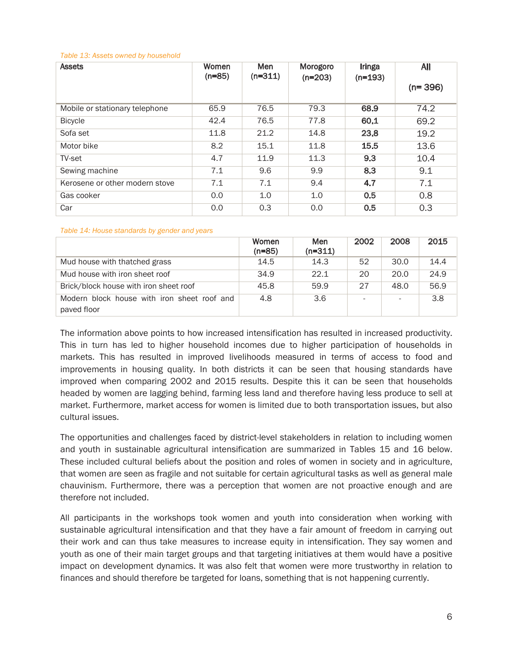|  |  |  | Table 13: Assets owned by household |  |
|--|--|--|-------------------------------------|--|
|--|--|--|-------------------------------------|--|

| <b>Assets</b>                  | Women<br>$(n=85)$ | Men<br>$(n=311)$ | Morogoro<br>$(n=203)$ | <b>Iringa</b><br>$(n=193)$ | All<br>$(n=396)$ |
|--------------------------------|-------------------|------------------|-----------------------|----------------------------|------------------|
| Mobile or stationary telephone | 65.9              | 76.5             | 79.3                  | 68.9                       | 74.2             |
| <b>Bicycle</b>                 | 42.4              | 76.5             | 77.8                  | 60.1                       | 69.2             |
| Sofa set                       | 11.8              | 21.2             | 14.8                  | 23.8                       | 19.2             |
| Motor bike                     | 8.2               | 15.1             | 11.8                  | 15.5                       | 13.6             |
| TV-set                         | 4.7               | 11.9             | 11.3                  | 9.3                        | 10.4             |
| Sewing machine                 | 7.1               | 9.6              | 9.9                   | 8.3                        | 9.1              |
| Kerosene or other modern stove | 7.1               | 7.1              | 9.4                   | 4.7                        | 7.1              |
| Gas cooker                     | 0.0               | 1.0              | 1.0                   | 0.5                        | 0.8              |
| Car                            | 0.0               | 0.3              | 0.0                   | 0.5                        | 0.3              |

#### *Table 14: House standards by gender and years*

|                                                            | Women<br>$(n=85)$ | <b>Men</b><br>$(n=311)$ | 2002                     | 2008 | 2015 |
|------------------------------------------------------------|-------------------|-------------------------|--------------------------|------|------|
| Mud house with thatched grass                              | 14.5              | 14.3                    | 52                       | 30.0 | 14.4 |
| Mud house with iron sheet roof                             | 34.9              | 22.1                    | 20                       | 20.0 | 24.9 |
| Brick/block house with iron sheet roof                     | 45.8              | 59.9                    | 27                       | 48.0 | 56.9 |
| Modern block house with iron sheet roof and<br>paved floor | 4.8               | 3.6                     | $\overline{\phantom{a}}$ |      | 3.8  |

The information above points to how increased intensification has resulted in increased productivity. This in turn has led to higher household incomes due to higher participation of households in markets. This has resulted in improved livelihoods measured in terms of access to food and improvements in housing quality. In both districts it can be seen that housing standards have improved when comparing 2002 and 2015 results. Despite this it can be seen that households headed by women are lagging behind, farming less land and therefore having less produce to sell at market. Furthermore, market access for women is limited due to both transportation issues, but also cultural issues.

The opportunities and challenges faced by district-level stakeholders in relation to including women and youth in sustainable agricultural intensification are summarized in Tables 15 and 16 below. These included cultural beliefs about the position and roles of women in society and in agriculture, that women are seen as fragile and not suitable for certain agricultural tasks as well as general male chauvinism. Furthermore, there was a perception that women are not proactive enough and are therefore not included.

All participants in the workshops took women and youth into consideration when working with sustainable agricultural intensification and that they have a fair amount of freedom in carrying out their work and can thus take measures to increase equity in intensification. They say women and youth as one of their main target groups and that targeting initiatives at them would have a positive impact on development dynamics. It was also felt that women were more trustworthy in relation to finances and should therefore be targeted for loans, something that is not happening currently.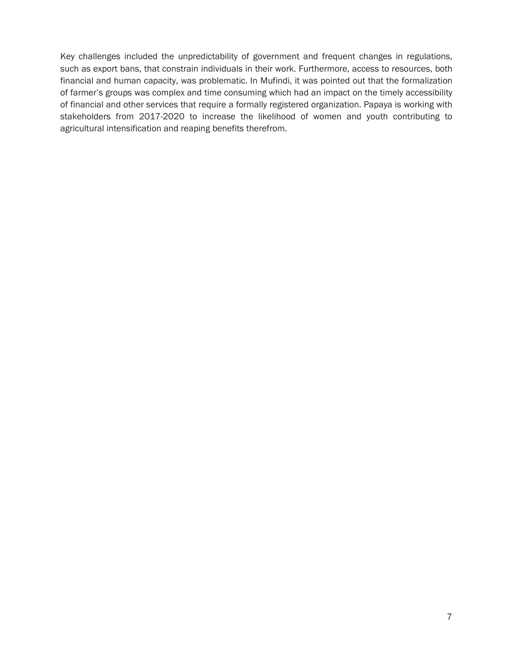Key challenges included the unpredictability of government and frequent changes in regulations, such as export bans, that constrain individuals in their work. Furthermore, access to resources, both financial and human capacity, was problematic. In Mufindi, it was pointed out that the formalization of farmer's groups was complex and time consuming which had an impact on the timely accessibility of financial and other services that require a formally registered organization. Papaya is working with stakeholders from 2017-2020 to increase the likelihood of women and youth contributing to agricultural intensification and reaping benefits therefrom.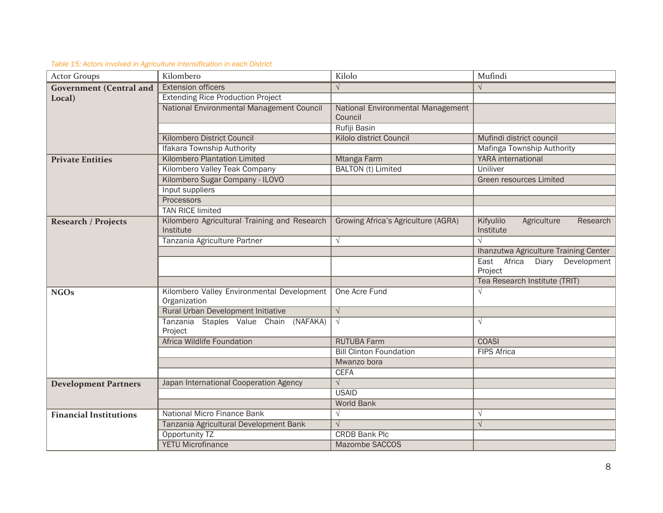| <b>Actor Groups</b>            | Kilombero                                                  | Kilolo                                       | Mufindi                                           |
|--------------------------------|------------------------------------------------------------|----------------------------------------------|---------------------------------------------------|
| <b>Government</b> (Central and | <b>Extension officers</b>                                  | $\sqrt{ }$                                   | $\sqrt{ }$                                        |
| Local)                         | <b>Extending Rice Production Project</b>                   |                                              |                                                   |
|                                | National Environmental Management Council                  | National Environmental Management<br>Council |                                                   |
|                                |                                                            | Rufiji Basin                                 |                                                   |
|                                | Kilombero District Council                                 | <b>Kilolo district Council</b>               | Mufindi district council                          |
|                                | <b>Ifakara Township Authority</b>                          |                                              | Mafinga Township Authority                        |
| <b>Private Entities</b>        | <b>Kilombero Plantation Limited</b>                        | Mtanga Farm                                  | <b>YARA</b> international                         |
|                                | Kilombero Valley Teak Company                              | <b>BALTON</b> (t) Limited                    | Uniliver                                          |
|                                | Kilombero Sugar Company - ILOVO                            |                                              | <b>Green resources Limited</b>                    |
|                                | Input suppliers                                            |                                              |                                                   |
|                                | Processors                                                 |                                              |                                                   |
|                                | <b>TAN RICE limited</b>                                    |                                              |                                                   |
| <b>Research / Projects</b>     | Kilombero Agricultural Training and Research<br>Institute  | Growing Africa's Agriculture (AGRA)          | Kifyulilo<br>Agriculture<br>Research<br>Institute |
|                                | Tanzania Agriculture Partner                               | $\sqrt{ }$                                   | $\sqrt{}$                                         |
|                                |                                                            |                                              | Ihanzutwa Agriculture Training Center             |
|                                |                                                            |                                              | East Africa<br>Diary<br>Development<br>Project    |
|                                |                                                            |                                              | Tea Research Institute (TRIT)                     |
| <b>NGOs</b>                    | Kilombero Valley Environmental Development<br>Organization | One Acre Fund                                | $\sqrt{ }$                                        |
|                                | Rural Urban Development Initiative                         | $\sqrt{ }$                                   |                                                   |
|                                | Tanzania Staples Value Chain (NAFAKA)<br>Project           | $\sqrt{ }$                                   | $\sqrt{ }$                                        |
|                                | <b>Africa Wildlife Foundation</b>                          | <b>RUTUBA Farm</b>                           | <b>COASI</b>                                      |
|                                |                                                            | <b>Bill Clinton Foundation</b>               | <b>FIPS Africa</b>                                |
|                                |                                                            | Mwanzo bora                                  |                                                   |
|                                |                                                            | <b>CEFA</b>                                  |                                                   |
| <b>Development Partners</b>    | Japan International Cooperation Agency                     | $\sqrt{ }$                                   |                                                   |
|                                |                                                            | <b>USAID</b>                                 |                                                   |
|                                |                                                            | <b>World Bank</b>                            |                                                   |
| <b>Financial Institutions</b>  | National Micro Finance Bank                                | $\sqrt{}$                                    | $\sqrt{ }$                                        |
|                                | Tanzania Agricultural Development Bank                     | $\sqrt{}$                                    | $\sqrt{ }$                                        |
|                                | Opportunity TZ                                             | <b>CRDB Bank Plc</b>                         |                                                   |
|                                | <b>YETU Microfinance</b>                                   | <b>Mazombe SACCOS</b>                        |                                                   |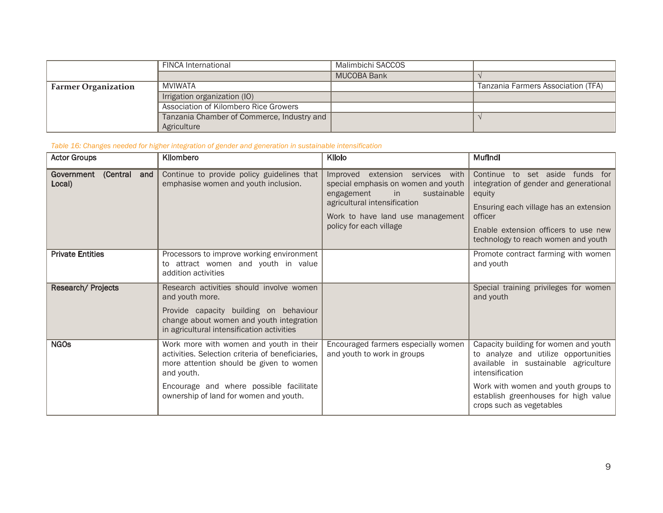|                            | <b>FINCA International</b>                 | Malimbichi SACCOS |                                    |
|----------------------------|--------------------------------------------|-------------------|------------------------------------|
|                            |                                            | MUCOBA Bank       |                                    |
| <b>Farmer Organization</b> | MVIWATA                                    |                   | Tanzania Farmers Association (TFA) |
|                            | Irrigation organization (IO)               |                   |                                    |
|                            | Association of Kilombero Rice Growers      |                   |                                    |
|                            | Tanzania Chamber of Commerce, Industry and |                   |                                    |
|                            | Agriculture                                |                   |                                    |

*Table 16: Changes needed for higher integration of gender and generation in sustainable intensification* 

| <b>Actor Groups</b>               | Kilombero                                                                                                                                                                                       | Kilolo                                                                                                                                                                                                                          | Mufindi                                                                                                                                                                                                                 |
|-----------------------------------|-------------------------------------------------------------------------------------------------------------------------------------------------------------------------------------------------|---------------------------------------------------------------------------------------------------------------------------------------------------------------------------------------------------------------------------------|-------------------------------------------------------------------------------------------------------------------------------------------------------------------------------------------------------------------------|
| Government (Central and<br>Local) | Continue to provide policy guidelines that<br>emphasise women and youth inclusion.                                                                                                              | Improved extension services with<br>special emphasis on women and youth<br>$\overline{\mathsf{in}}$<br>sustainable<br>engagement<br>agricultural intensification<br>Work to have land use management<br>policy for each village | Continue to set aside funds for<br>integration of gender and generational<br>equity<br>Ensuring each village has an extension<br>officer<br>Enable extension officers to use new<br>technology to reach women and youth |
| <b>Private Entities</b>           | Processors to improve working environment<br>to attract women and youth in value<br>addition activities                                                                                         |                                                                                                                                                                                                                                 | Promote contract farming with women<br>and youth                                                                                                                                                                        |
| Research/ Projects                | Research activities should involve women<br>and youth more.<br>Provide capacity building on behaviour<br>change about women and youth integration<br>in agricultural intensification activities |                                                                                                                                                                                                                                 | Special training privileges for women<br>and youth                                                                                                                                                                      |
| <b>NGOs</b>                       | Work more with women and youth in their<br>activities. Selection criteria of beneficiaries,<br>more attention should be given to women<br>and youth.                                            | Encouraged farmers especially women<br>and youth to work in groups                                                                                                                                                              | Capacity building for women and youth<br>to analyze and utilize opportunities<br>available in sustainable agriculture<br>intensification                                                                                |
|                                   | Encourage and where possible facilitate<br>ownership of land for women and youth.                                                                                                               |                                                                                                                                                                                                                                 | Work with women and youth groups to<br>establish greenhouses for high value<br>crops such as vegetables                                                                                                                 |